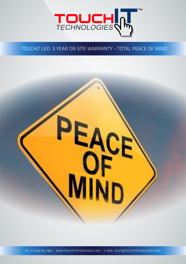

## TOUCHIT LED 3 YEAR ON SITE WARRANTY - TOTAL PEACE OF MIND



PEACE<br>OF OF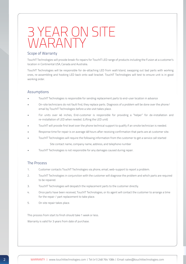# 3 YEAR ON SITE WARANTY

#### Scope of Warranty

TouchIT Technologies will provide break-fix repairs for TouchIT LED range of products including the Fusion at a customer's location in Continental USA, Canada and Australia.

TouchIT Technologies will be responsible for de-attaching LED from wall/stand, swapping out bad parts with working ones, re-assembling and hooking LED back onto wall bracket. TouchIT Technologies will test to ensure unit is in good working order.

#### Assumptions

- TouchIT Technologies is responsible for sending replacement parts to end-user location in advance
- On-site technicians do not fault find, they replace parts. Diagnosis of a problem will be done over the phone/ email by TouchIT Technologies before a site visit takes place.
- For units over 46 inches, End-customer is responsible for providing a "helper" for de-installation and re-installation of LED when needed. (Lifting the LED unit)
- TouchIT will provide first level over the phone technical support to qualify if an onsite technician is needed.
- Response time for repair is on average 48 hours after receiving confirmation that parts are at customer site.
- TouchIT Technologies will require the following information from the customer to get a service call started

Site contact name, company name, address, and telephone number

• TouchIT Technologies is not responsible for any damages caused during repair.

### The Process

- 1. Customer contacts TouchIT Technologies via phone, email, web-support to report a problem.
- 2. TouchIT Technologies in conjunction with the customer will diagnose the problem and which parts are required to be repaired.
- 3. TouchIT Technologies will despatch the replacement parts to the customer directly.
- 4. Once parts have been received, TouchIT Technologies, or its agent will contact the customer to arrange a time for the repair / part replacement to take place.
- 5. On site repair takes place.

This process from start to finsh should take 1 week or less.

Warranty is valid for 3 years from date of purchase.